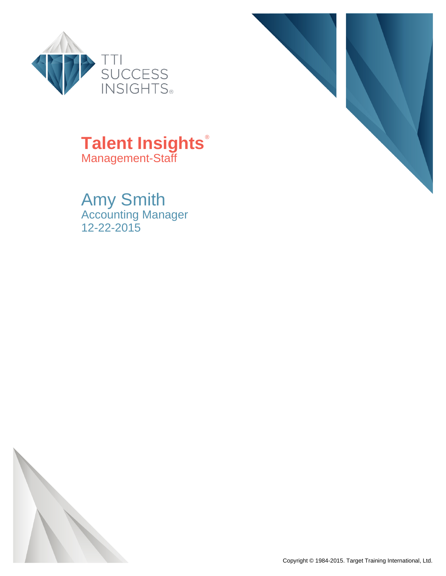



## **Talent Insights**® Management-Staff

Amy Smith Accounting Manager 12-22-2015

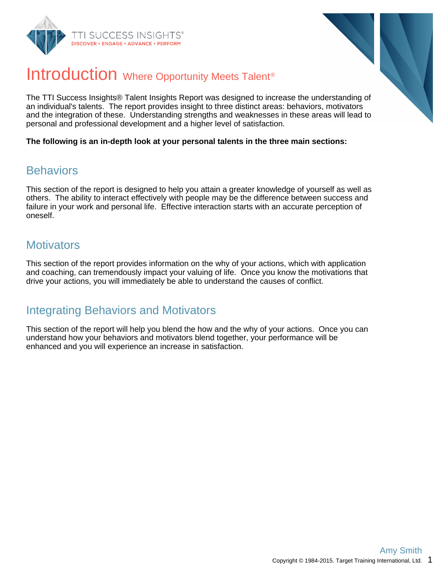



## Introduction Where Opportunity Meets Talent<sup>®</sup>

The TTI Success Insights® Talent Insights Report was designed to increase the understanding of an individual's talents. The report provides insight to three distinct areas: behaviors, motivators and the integration of these. Understanding strengths and weaknesses in these areas will lead to personal and professional development and a higher level of satisfaction.

**The following is an in-depth look at your personal talents in the three main sections:**

### **Behaviors**

This section of the report is designed to help you attain a greater knowledge of yourself as well as others. The ability to interact effectively with people may be the difference between success and failure in your work and personal life. Effective interaction starts with an accurate perception of oneself.

### **Motivators**

This section of the report provides information on the why of your actions, which with application and coaching, can tremendously impact your valuing of life. Once you know the motivations that drive your actions, you will immediately be able to understand the causes of conflict.

### Integrating Behaviors and Motivators

This section of the report will help you blend the how and the why of your actions. Once you can understand how your behaviors and motivators blend together, your performance will be enhanced and you will experience an increase in satisfaction.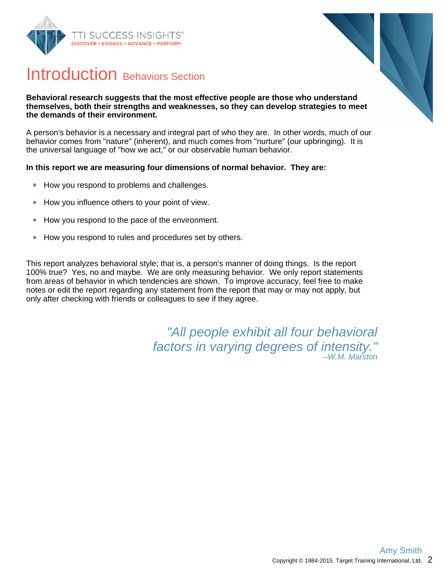



## Introduction Behaviors Section

#### **Behavioral research suggests that the most effective people are those who understand themselves, both their strengths and weaknesses, so they can develop strategies to meet the demands of their environment.**

A person's behavior is a necessary and integral part of who they are. In other words, much of our behavior comes from "nature" (inherent), and much comes from "nurture" (our upbringing). It is the universal language of "how we act," or our observable human behavior.

#### **In this report we are measuring four dimensions of normal behavior. They are:**

- How you respond to problems and challenges.  $\bullet$
- How you influence others to your point of view.  $\bullet$
- How you respond to the pace of the environment.  $\bullet$
- How you respond to rules and procedures set by others.  $\bullet$

This report analyzes behavioral style; that is, a person's manner of doing things. Is the report 100% true? Yes, no and maybe. We are only measuring behavior. We only report statements from areas of behavior in which tendencies are shown. To improve accuracy, feel free to make notes or edit the report regarding any statement from the report that may or may not apply, but only after checking with friends or colleagues to see if they agree.

> "All people exhibit all four behavioral factors in varying degrees of intensity." –W.M. Marston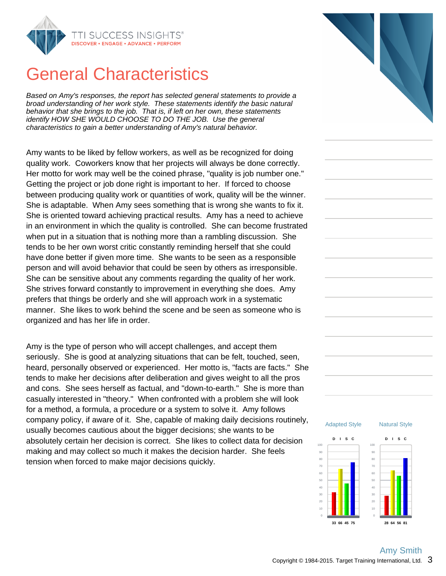

## General Characteristics

Based on Amy's responses, the report has selected general statements to provide a broad understanding of her work style. These statements identify the basic natural behavior that she brings to the job. That is, if left on her own, these statements identify HOW SHE WOULD CHOOSE TO DO THE JOB. Use the general characteristics to gain a better understanding of Amy's natural behavior.

Amy wants to be liked by fellow workers, as well as be recognized for doing quality work. Coworkers know that her projects will always be done correctly. Her motto for work may well be the coined phrase, "quality is job number one." Getting the project or job done right is important to her. If forced to choose between producing quality work or quantities of work, quality will be the winner. She is adaptable. When Amy sees something that is wrong she wants to fix it. She is oriented toward achieving practical results. Amy has a need to achieve in an environment in which the quality is controlled. She can become frustrated when put in a situation that is nothing more than a rambling discussion. She tends to be her own worst critic constantly reminding herself that she could have done better if given more time. She wants to be seen as a responsible person and will avoid behavior that could be seen by others as irresponsible. She can be sensitive about any comments regarding the quality of her work. She strives forward constantly to improvement in everything she does. Amy prefers that things be orderly and she will approach work in a systematic manner. She likes to work behind the scene and be seen as someone who is organized and has her life in order.

Amy is the type of person who will accept challenges, and accept them seriously. She is good at analyzing situations that can be felt, touched, seen, heard, personally observed or experienced. Her motto is, "facts are facts." She tends to make her decisions after deliberation and gives weight to all the pros and cons. She sees herself as factual, and "down-to-earth." She is more than casually interested in "theory." When confronted with a problem she will look for a method, a formula, a procedure or a system to solve it. Amy follows company policy, if aware of it. She, capable of making daily decisions routinely, usually becomes cautious about the bigger decisions; she wants to be absolutely certain her decision is correct. She likes to collect data for decision making and may collect so much it makes the decision harder. She feels tension when forced to make major decisions quickly.



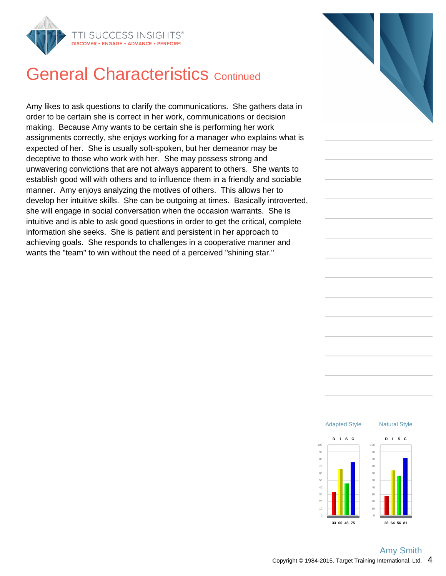

## **General Characteristics Continued**

Amy likes to ask questions to clarify the communications. She gathers data in order to be certain she is correct in her work, communications or decision making. Because Amy wants to be certain she is performing her work assignments correctly, she enjoys working for a manager who explains what is expected of her. She is usually soft-spoken, but her demeanor may be deceptive to those who work with her. She may possess strong and unwavering convictions that are not always apparent to others. She wants to establish good will with others and to influence them in a friendly and sociable manner. Amy enjoys analyzing the motives of others. This allows her to develop her intuitive skills. She can be outgoing at times. Basically introverted, she will engage in social conversation when the occasion warrants. She is intuitive and is able to ask good questions in order to get the critical, complete information she seeks. She is patient and persistent in her approach to achieving goals. She responds to challenges in a cooperative manner and wants the "team" to win without the need of a perceived "shining star."



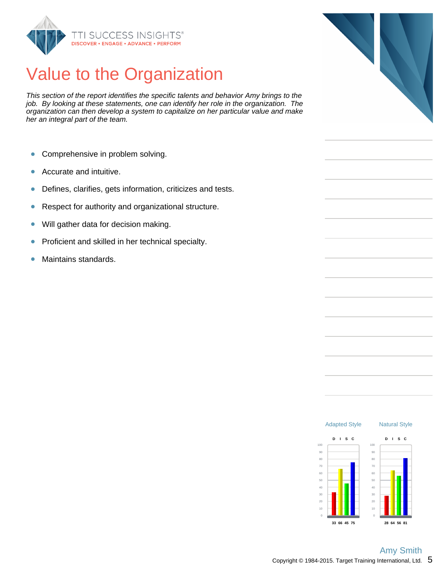

## Value to the Organization

This section of the report identifies the specific talents and behavior Amy brings to the job. By looking at these statements, one can identify her role in the organization. The organization can then develop a system to capitalize on her particular value and make her an integral part of the team.

- Comprehensive in problem solving.  $\bullet$
- Accurate and intuitive.  $\bullet$
- Defines, clarifies, gets information, criticizes and tests.  $\bullet$
- Respect for authority and organizational structure.  $\bullet$
- Will gather data for decision making.  $\bullet$
- Proficient and skilled in her technical specialty.  $\bullet$
- $\bullet$ Maintains standards.



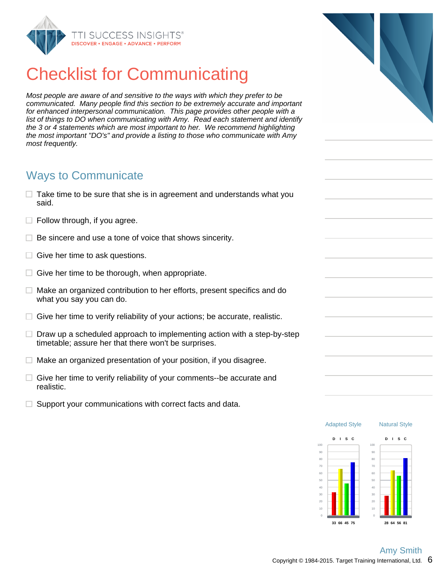

# Checklist for Communicating

Most people are aware of and sensitive to the ways with which they prefer to be communicated. Many people find this section to be extremely accurate and important for enhanced interpersonal communication. This page provides other people with a list of things to DO when communicating with Amy. Read each statement and identify the 3 or 4 statements which are most important to her. We recommend highlighting the most important "DO's" and provide a listing to those who communicate with Amy most frequently.

### Ways to Communicate

- $\Box$  Take time to be sure that she is in agreement and understands what you said.
- $\Box$  Follow through, if you agree.
- $\Box$  Be sincere and use a tone of voice that shows sincerity.
- $\Box$  Give her time to ask questions.
- $\Box$  Give her time to be thorough, when appropriate.
- $\Box$  Make an organized contribution to her efforts, present specifics and do what you say you can do.
- $\Box$  Give her time to verify reliability of your actions; be accurate, realistic.
- $\Box$  Draw up a scheduled approach to implementing action with a step-by-step timetable; assure her that there won't be surprises.
- $\Box$  Make an organized presentation of your position, if you disagree.
- $\Box$  Give her time to verify reliability of your comments--be accurate and realistic.
- $\Box$  Support your communications with correct facts and data.



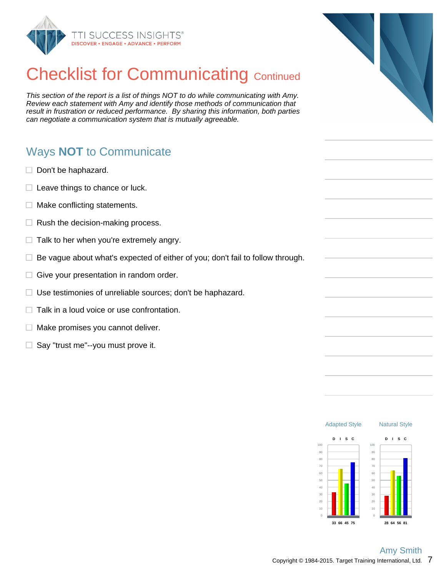

# **Checklist for Communicating Continued**

This section of the report is a list of things NOT to do while communicating with Amy. Review each statement with Amy and identify those methods of communication that result in frustration or reduced performance. By sharing this information, both parties can negotiate a communication system that is mutually agreeable.

### Ways **NOT** to Communicate

- $\Box$  Don't be haphazard.
- $\Box$  Leave things to chance or luck.
- Make conflicting statements. □.
- $\Box$  Rush the decision-making process.
- $\Box$ Talk to her when you're extremely angry.
- Be vague about what's expected of either of you; don't fail to follow through.  $\Box$
- Give your presentation in random order.  $\Box$
- $\Box$  Use testimonies of unreliable sources; don't be haphazard.
- $\Box$  Talk in a loud voice or use confrontation.
- $\Box$  Make promises you cannot deliver.
- $\Box$  Say "trust me"--you must prove it.



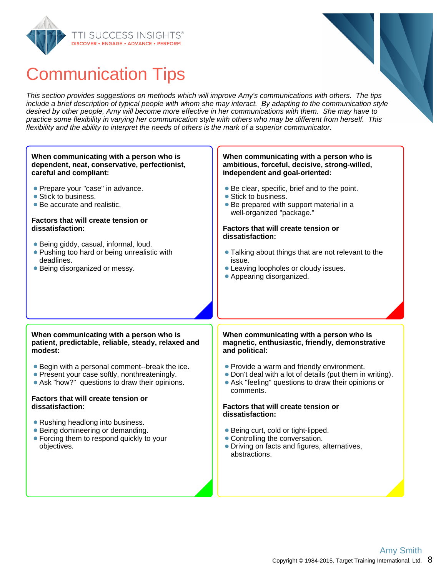



This section provides suggestions on methods which will improve Amy's communications with others. The tips include a brief description of typical people with whom she may interact. By adapting to the communication style desired by other people, Amy will become more effective in her communications with them. She may have to practice some flexibility in varying her communication style with others who may be different from herself. This flexibility and the ability to interpret the needs of others is the mark of a superior communicator.

#### **When communicating with a person who is dependent, neat, conservative, perfectionist, careful and compliant:**

- **Prepare your "case" in advance.**
- Stick to business.
- Be accurate and realistic.

#### **Factors that will create tension or dissatisfaction:**

- Being giddy, casual, informal, loud.
- **Pushing too hard or being unrealistic with** deadlines.
- Being disorganized or messy.

#### **When communicating with a person who is ambitious, forceful, decisive, strong-willed, independent and goal-oriented:**

- Be clear, specific, brief and to the point.
- Stick to business.
- Be prepared with support material in a well-organized "package."

#### **Factors that will create tension or dissatisfaction:**

- Talking about things that are not relevant to the issue.
- Leaving loopholes or cloudy issues.
- Appearing disorganized.

#### **When communicating with a person who is patient, predictable, reliable, steady, relaxed and modest:**

- Begin with a personal comment--break the ice.
- Present your case softly, nonthreateningly.
- Ask "how?" questions to draw their opinions.

#### **Factors that will create tension or dissatisfaction:**

- Rushing headlong into business.
- Being domineering or demanding.
- Forcing them to respond quickly to your objectives.

#### **When communicating with a person who is magnetic, enthusiastic, friendly, demonstrative and political:**

- Provide a warm and friendly environment.
- Don't deal with a lot of details (put them in writing).
- Ask "feeling" questions to draw their opinions or comments.

#### **Factors that will create tension or dissatisfaction:**

- Being curt, cold or tight-lipped.
- Controlling the conversation.
- Driving on facts and figures, alternatives, abstractions.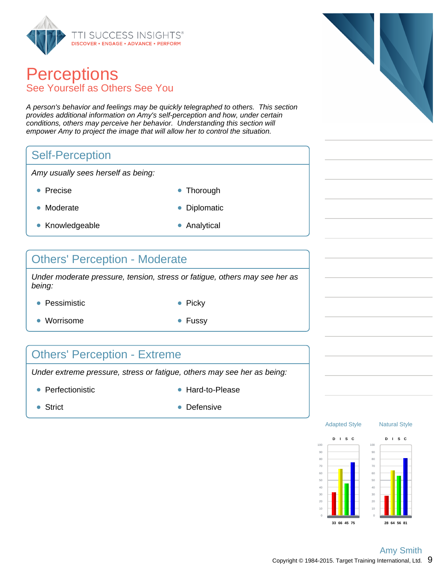

### **Perceptions** See Yourself as Others See You

A person's behavior and feelings may be quickly telegraphed to others. This section provides additional information on Amy's self-perception and how, under certain conditions, others may perceive her behavior. Understanding this section will empower Amy to project the image that will allow her to control the situation.

### Self-Perception

Amy usually sees herself as being:

- 
- Precise **Thorough**
- Moderate **Diplomatic**
- Knowledgeable **Analytical**
- 

### Others' Perception - Moderate

Under moderate pressure, tension, stress or fatigue, others may see her as being:

- Pessimistic **Picky** Picky
	-
- Worrisome  **Fussy**
- 

### Others' Perception - Extreme

Under extreme pressure, stress or fatigue, others may see her as being:

- Perfectionistic and the Hard-to-Please
	-

- 
- Strict **Defensive** Defensive





Natural Style

**28 64 56 81**

Adapted Style

**33 66 45 75**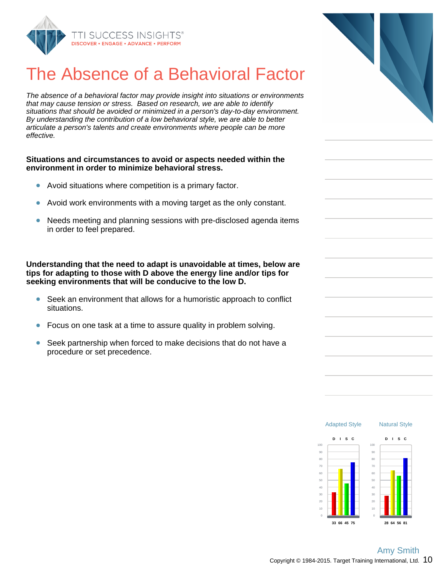

## The Absence of a Behavioral Fact

The absence of a behavioral factor may provide insight into situations or environm that may cause tension or stress. Based on research, we are able to identify situations that should be avoided or minimized in a person's day-to-day environme By understanding the contribution of a low behavioral style, we are able to better articulate a person's talents and create environments where people can be more effective.

#### **Situations and circumstances to avoid or aspects needed within the environment in order to minimize behavioral stress.**

- $\bullet$ Avoid situations where competition is a primary factor.
- Avoid work environments with a moving target as the only constant.
- Needs meeting and planning sessions with pre-disclosed agenda ite in order to feel prepared.

**Understanding that the need to adapt is unavoidable at times, below are tips for adapting to those with D above the energy line and/or tips for seeking environments that will be conducive to the low D.**

- $\bullet$ Seek an environment that allows for a humoristic approach to conflict situations.
- Focus on one task at a time to assure quality in problem solving.
- Seek partnership when forced to make decisions that do not have a procedure or set precedence.

| or:   |  |
|-------|--|
| nents |  |
| ent.  |  |
|       |  |
|       |  |
|       |  |
|       |  |
|       |  |
| ms    |  |
|       |  |
| are   |  |
|       |  |
| :t    |  |
|       |  |
|       |  |
|       |  |
|       |  |
|       |  |

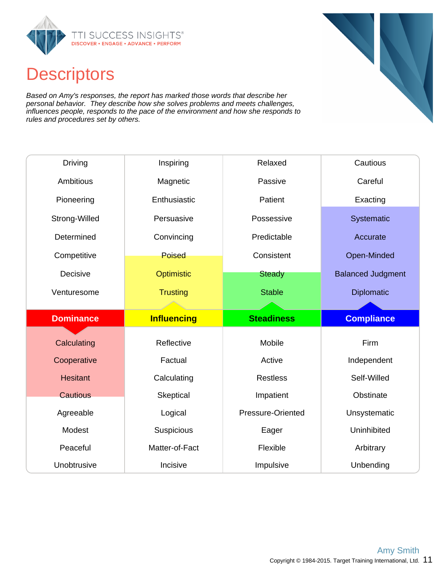

## **Descriptors**

Based on Amy's responses, the report has marked those words that describe her personal behavior. They describe how she solves problems and meets challenges, influences people, responds to the pace of the environment and how she responds to rules and procedures set by others.

| <b>Driving</b>   | Inspiring          | Relaxed           | Cautious                 |
|------------------|--------------------|-------------------|--------------------------|
| <b>Ambitious</b> | Magnetic           | Passive           | Careful                  |
| Pioneering       | Enthusiastic       | Patient           | Exacting                 |
| Strong-Willed    | Persuasive         | Possessive        | Systematic               |
| Determined       | Convincing         | Predictable       | Accurate                 |
| Competitive      | <b>Poised</b>      | Consistent        | Open-Minded              |
| Decisive         | <b>Optimistic</b>  | <b>Steady</b>     | <b>Balanced Judgment</b> |
| Venturesome      | <b>Trusting</b>    | <b>Stable</b>     | Diplomatic               |
|                  |                    |                   |                          |
|                  |                    |                   |                          |
| <b>Dominance</b> | <b>Influencing</b> | <b>Steadiness</b> | <b>Compliance</b>        |
| Calculating      | Reflective         | Mobile            | Firm                     |
| Cooperative      | Factual            | Active            | Independent              |
| <b>Hesitant</b>  | Calculating        | <b>Restless</b>   | Self-Willed              |
| <b>Cautious</b>  | Skeptical          | Impatient         | Obstinate                |
| Agreeable        | Logical            | Pressure-Oriented | Unsystematic             |
| Modest           | Suspicious         | Eager             | Uninhibited              |
| Peaceful         | Matter-of-Fact     | Flexible          | Arbitrary                |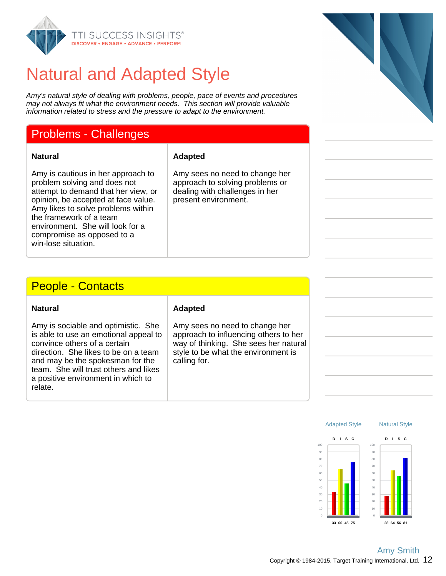

## Natural and Adapted Style

Amy's natural style of dealing with problems, people, pace of events and procedures may not always fit what the environment needs. This section will provide valuable information related to stress and the pressure to adapt to the environment.

### Problems - Challenges

**Natural Adapted**

Amy is cautious in her approach to problem solving and does not attempt to demand that her view, or opinion, be accepted at face value. Amy likes to solve problems within the framework of a team environment. She will look for a compromise as opposed to a win-lose situation.

Amy sees no need to change her approach to solving problems or dealing with challenges in her present environment.

### People - Contacts

| <b>Natural</b> |
|----------------|
|----------------|

Amy is sociable and optimistic. She is able to use an emotional appeal to convince others of a certain direction. She likes to be on a team and may be the spokesman for the team. She will trust others and likes a positive environment in which to relate.

#### **Adapted**

Amy sees no need to change her approach to influencing others to her way of thinking. She sees her natural style to be what the environment is calling for.



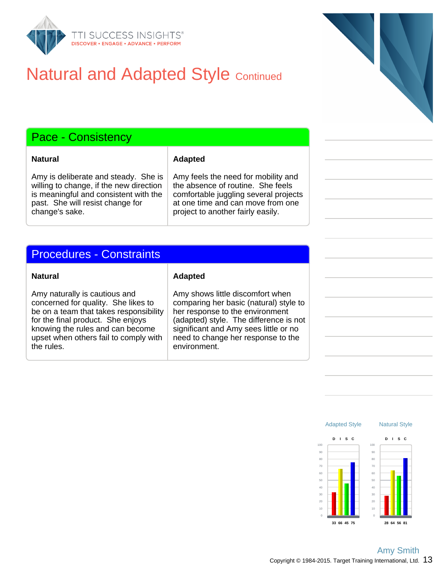

## **Natural and Adapted Style Continued**

### Pace - Consistency

**Natural Adapted**

Amy is deliberate and steady. She is willing to change, if the new direction is meaningful and consistent with the past. She will resist change for change's sake.

Amy feels the need for mobility and the absence of routine. She feels comfortable juggling several projects at one time and can move from one project to another fairly easily.

### Procedures - Constraints

Amy naturally is cautious and concerned for quality. She likes to be on a team that takes responsibility for the final product. She enjoys knowing the rules and can become upset when others fail to comply with the rules.

#### **Natural Adapted**

Amy shows little discomfort when comparing her basic (natural) style to her response to the environment (adapted) style. The difference is not significant and Amy sees little or no need to change her response to the environment.

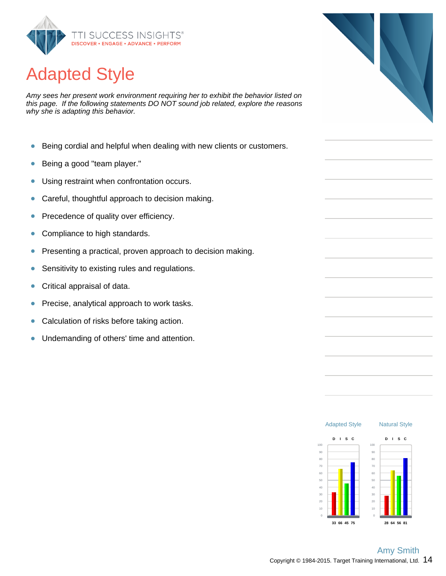

# Adapted Style

Amy sees her present work environment requiring her to exhibit the behavior listed on this page. If the following statements DO NOT sound job related, explore the reasons why she is adapting this behavior.

- Being cordial and helpful when dealing with new clients or customers.  $\bullet$
- Being a good "team player."  $\bullet$
- Using restraint when confrontation occurs.  $\bullet$
- Careful, thoughtful approach to decision making.  $\bullet$
- Precedence of quality over efficiency.  $\bullet$
- Compliance to high standards.  $\bullet$
- $\bullet$ Presenting a practical, proven approach to decision making.
- Sensitivity to existing rules and regulations.  $\bullet$
- $\bullet$ Critical appraisal of data.
- Precise, analytical approach to work tasks.  $\bullet$
- Calculation of risks before taking action.  $\bullet$
- Undemanding of others' time and attention.  $\bullet$



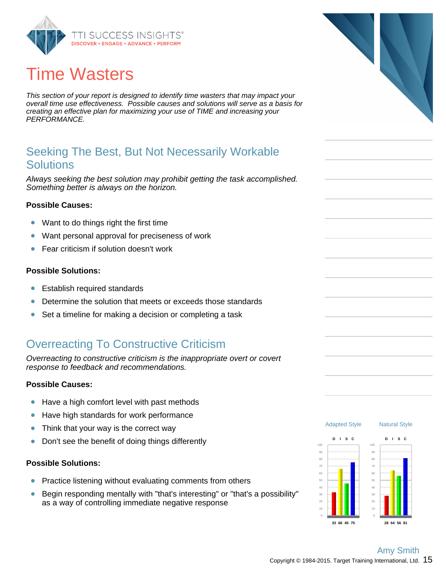

# Time Wasters

This section of your report is designed to identify time wasters that may impact your overall time use effectiveness. Possible causes and solutions will serve as a basis for creating an effective plan for maximizing your use of TIME and increasing your PERFORMANCE.

### Seeking The Best, But Not Necessarily Workable **Solutions**

Always seeking the best solution may prohibit getting the task accomplished. Something better is always on the horizon.

#### **Possible Causes:**

- $\bullet$ Want to do things right the first time
- Want personal approval for preciseness of work  $\bullet$
- Fear criticism if solution doesn't work  $\bullet$

#### **Possible Solutions:**

- $\bullet$ Establish required standards
- Determine the solution that meets or exceeds those standards
- $\bullet$ Set a timeline for making a decision or completing a task

### Overreacting To Constructive Criticism

Overreacting to constructive criticism is the inappropriate overt or covert response to feedback and recommendations.

#### **Possible Causes:**

- Have a high comfort level with past methods  $\bullet$
- Have high standards for work performance  $\bullet$
- $\bullet$ Think that your way is the correct way
- Don't see the benefit of doing things differently  $\bullet$

#### **Possible Solutions:**

- Practice listening without evaluating comments from others  $\bullet$
- Begin responding mentally with "that's interesting" or "that's a possibility"  $\bullet$ as a way of controlling immediate negative response



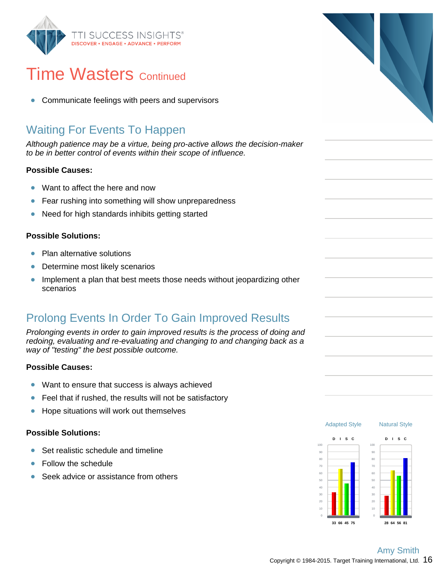

## **Time Wasters Continued**

Communicate feelings with peers and supervisors  $\bullet$ 

## Waiting For Events To Happen

Although patience may be a virtue, being pro-active allows the decision-maker to be in better control of events within their scope of influence.

### **Possible Causes:**

- Want to affect the here and now  $\bullet$
- Fear rushing into something will show unpreparedness  $\bullet$
- $\bullet$ Need for high standards inhibits getting started

### **Possible Solutions:**

- $\bullet$ Plan alternative solutions
- Determine most likely scenarios  $\bullet$
- $\bullet$ Implement a plan that best meets those needs without jeopardizing other scenarios

### Prolong Events In Order To Gain Improved Results

Prolonging events in order to gain improved results is the process of doing and redoing, evaluating and re-evaluating and changing to and changing back as a way of "testing" the best possible outcome.

#### **Possible Causes:**

- $\bullet$ Want to ensure that success is always achieved
- $\bullet$ Feel that if rushed, the results will not be satisfactory
- $\bullet$ Hope situations will work out themselves

### **Possible Solutions:**

- Set realistic schedule and timeline Ŏ
- Follow the schedule Ŏ
- Seek advice or assistance from others



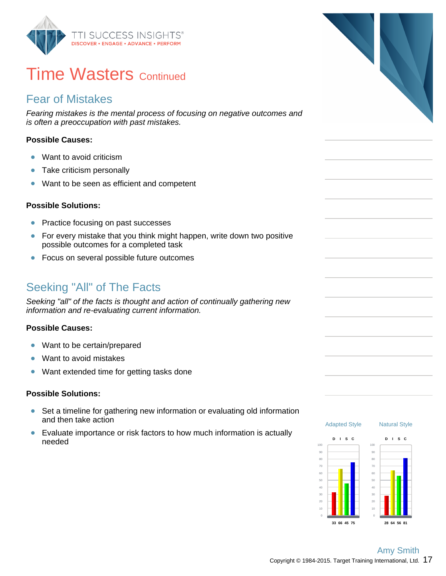

## **Time Wasters Continued**

### Fear of Mistakes

Fearing mistakes is the mental process of focusing on negative outcomes and is often a preoccupation with past mistakes.

### **Possible Causes:**

- Want to avoid criticism  $\bullet$
- Take criticism personally  $\bullet$
- Want to be seen as efficient and competent  $\bullet$

#### **Possible Solutions:**

- $\bullet$ Practice focusing on past successes
- $\bullet$ For every mistake that you think might happen, write down two positive possible outcomes for a completed task
- $\bullet$ Focus on several possible future outcomes

### Seeking "All" of The Facts

Seeking "all" of the facts is thought and action of continually gathering new information and re-evaluating current information.

#### **Possible Causes:**

- Want to be certain/prepared  $\bullet$
- Want to avoid mistakes  $\bullet$
- Want extended time for getting tasks done  $\bullet$

#### **Possible Solutions:**

- $\bullet$ Set a timeline for gathering new information or evaluating old information and then take action
- $\bullet$ Evaluate importance or risk factors to how much information is actually needed

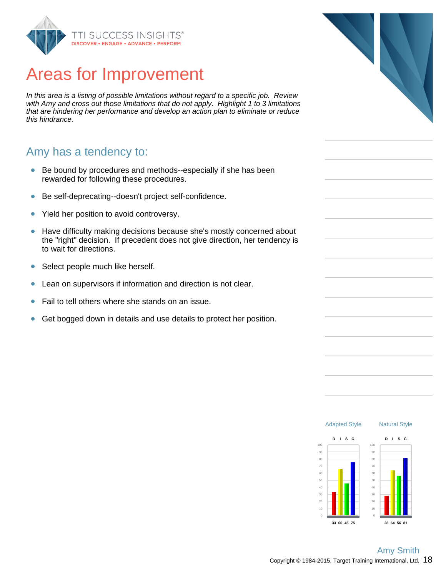

## Areas for Improvement

In this area is a listing of possible limitations without regard to a specific job. Review with Amy and cross out those limitations that do not apply. Highlight 1 to 3 limitations that are hindering her performance and develop an action plan to eliminate or reduce this hindrance.

### Amy has a tendency to:

- Be bound by procedures and methods--especially if she has been rewarded for following these procedures.
- Be self-deprecating--doesn't project self-confidence.  $\bullet$
- Yield her position to avoid controversy.  $\bullet$
- Have difficulty making decisions because she's mostly concerned about  $\bullet$ the "right" decision. If precedent does not give direction, her tendency is to wait for directions.
- Select people much like herself.  $\bullet$
- Lean on supervisors if information and direction is not clear.  $\bullet$
- $\bullet$ Fail to tell others where she stands on an issue.
- $\bullet$ Get bogged down in details and use details to protect her position.





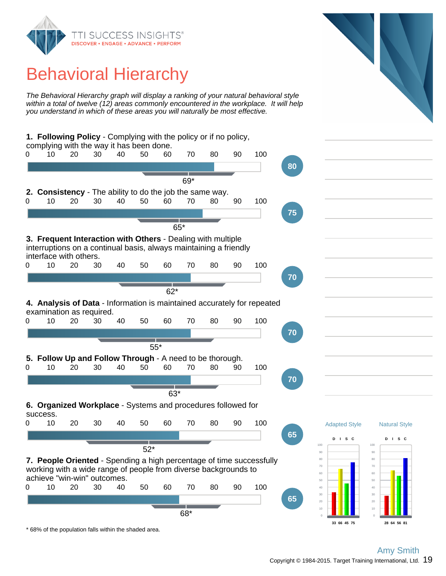

## Behavioral Hierarchy

The Behavioral Hierarchy graph will display a ranking of your natural behavioral style within a total of twelve (12) areas commonly encountered in the workplace. It will help you understand in which of these areas you will naturally be most effective.



Copyright  $@$  1984-2015. Target Training International, Ltd.  $19$ Amy Smith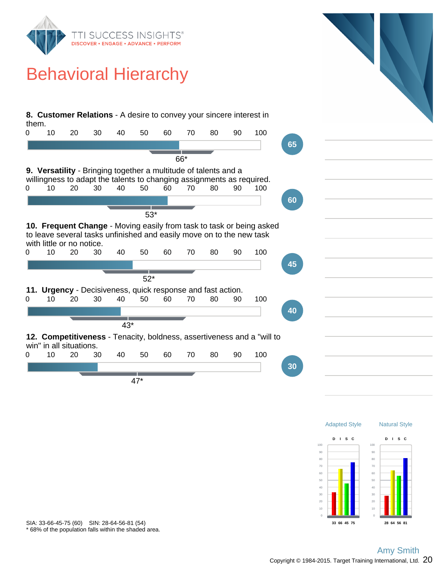



\* 68% of the population falls within the shaded area. SIA: 33-66-45-75 (60) SIN: 28-64-56-81 (54)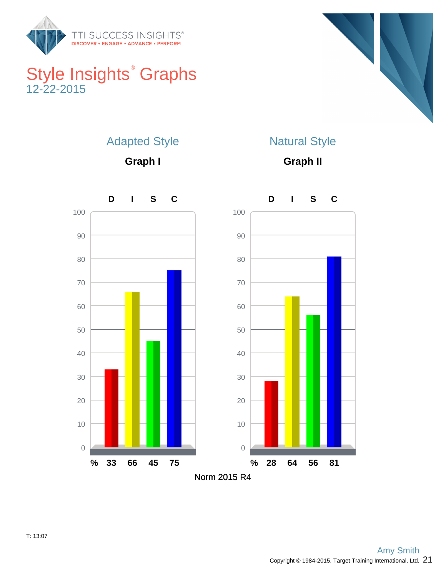

## Style Insights<sup>®</sup> Graphs 12-22-2015



### Adapted Style

**Graph I**

## Natural Style

**Graph II**

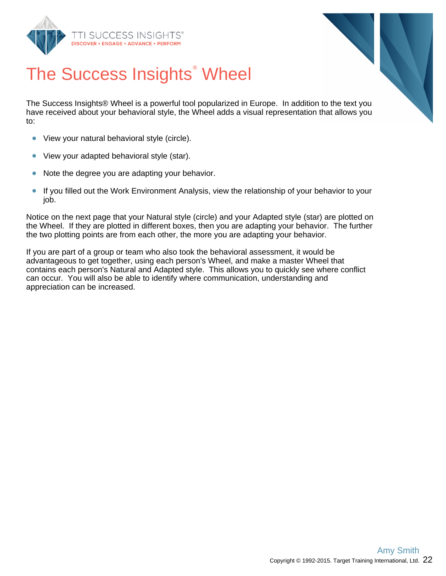



# The Success Insights<sup>®</sup> Wheel

The Success Insights® Wheel is a powerful tool popularized in Europe. In addition to the text you have received about your behavioral style, the Wheel adds a visual representation that allows you to:

- View your natural behavioral style (circle).  $\bullet$
- $\bullet$ View your adapted behavioral style (star).
- $\bullet$ Note the degree you are adapting your behavior.
- $\bullet$ If you filled out the Work Environment Analysis, view the relationship of your behavior to your job.

Notice on the next page that your Natural style (circle) and your Adapted style (star) are plotted on the Wheel. If they are plotted in different boxes, then you are adapting your behavior. The further the two plotting points are from each other, the more you are adapting your behavior.

If you are part of a group or team who also took the behavioral assessment, it would be advantageous to get together, using each person's Wheel, and make a master Wheel that contains each person's Natural and Adapted style. This allows you to quickly see where conflict can occur. You will also be able to identify where communication, understanding and appreciation can be increased.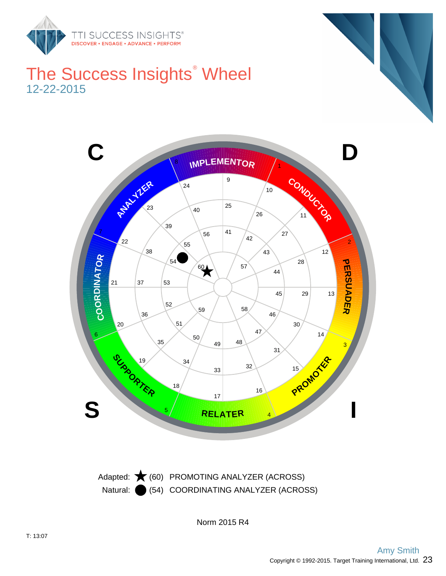

## The Success Insights<sup>®</sup> Wheel 12-22-2015



Natural: (54) COORDINATING ANALYZER (ACROSS) Adapted:  $\bigstar$  (60) PROMOTING ANALYZER (ACROSS)

Norm 2015 R4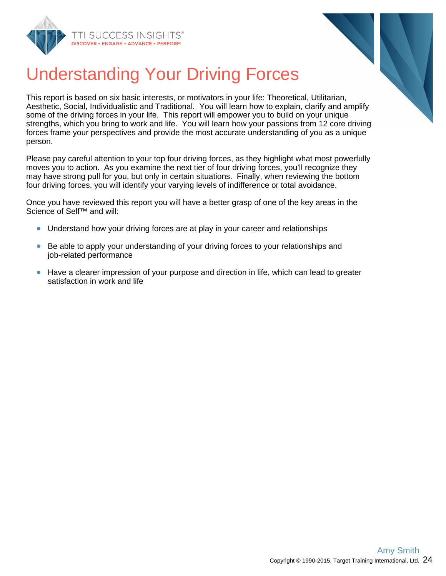



# Understanding Your Driving Forces

This report is based on six basic interests, or motivators in your life: Theoretical, Utilitarian, Aesthetic, Social, Individualistic and Traditional. You will learn how to explain, clarify and amplify some of the driving forces in your life. This report will empower you to build on your unique strengths, which you bring to work and life. You will learn how your passions from 12 core driving forces frame your perspectives and provide the most accurate understanding of you as a unique person.

Please pay careful attention to your top four driving forces, as they highlight what most powerfully moves you to action. As you examine the next tier of four driving forces, you'll recognize they may have strong pull for you, but only in certain situations. Finally, when reviewing the bottom four driving forces, you will identify your varying levels of indifference or total avoidance.

Once you have reviewed this report you will have a better grasp of one of the key areas in the Science of Self™ and will:

- Understand how your driving forces are at play in your career and relationships
- Be able to apply your understanding of your driving forces to your relationships and  $\bullet$ job-related performance
- Have a clearer impression of your purpose and direction in life, which can lead to greater satisfaction in work and life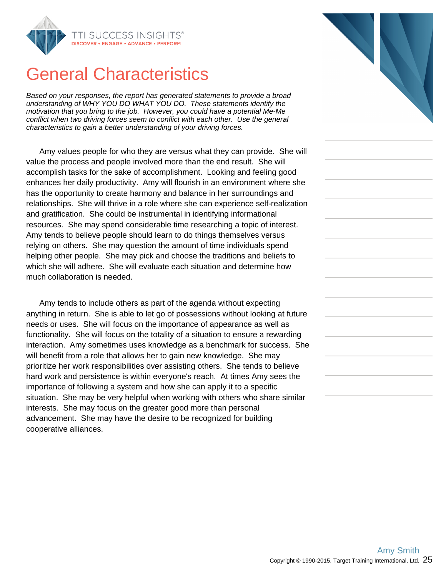

## General Characteristics

Based on your responses, the report has generated statements to provide a broad understanding of WHY YOU DO WHAT YOU DO. These statements identify the motivation that you bring to the job. However, you could have a potential Me-Me conflict when two driving forces seem to conflict with each other. Use the general characteristics to gain a better understanding of your driving forces.

Amy values people for who they are versus what they can provide. She will value the process and people involved more than the end result. She will accomplish tasks for the sake of accomplishment. Looking and feeling good enhances her daily productivity. Amy will flourish in an environment where she has the opportunity to create harmony and balance in her surroundings and relationships. She will thrive in a role where she can experience self-realization and gratification. She could be instrumental in identifying informational resources. She may spend considerable time researching a topic of interest. Amy tends to believe people should learn to do things themselves versus relying on others. She may question the amount of time individuals spend helping other people. She may pick and choose the traditions and beliefs to which she will adhere. She will evaluate each situation and determine how much collaboration is needed.

Amy tends to include others as part of the agenda without expecting anything in return. She is able to let go of possessions without looking at future needs or uses. She will focus on the importance of appearance as well as functionality. She will focus on the totality of a situation to ensure a rewarding interaction. Amy sometimes uses knowledge as a benchmark for success. She will benefit from a role that allows her to gain new knowledge. She may prioritize her work responsibilities over assisting others. She tends to believe hard work and persistence is within everyone's reach. At times Amy sees the importance of following a system and how she can apply it to a specific situation. She may be very helpful when working with others who share similar interests. She may focus on the greater good more than personal advancement. She may have the desire to be recognized for building cooperative alliances.

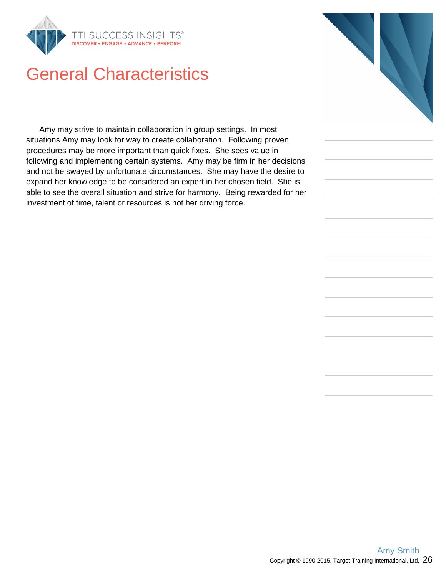

## General Characteristics

Amy may strive to maintain collaboration in group settings. In most situations Amy may look for way to create collaboration. Following proven procedures may be more important than quick fixes. She sees value in following and implementing certain systems. Amy may be firm in her decisions and not be swayed by unfortunate circumstances. She may have the desire to expand her knowledge to be considered an expert in her chosen field. She is able to see the overall situation and strive for harmony. Being rewarded for her investment of time, talent or resources is not her driving force.

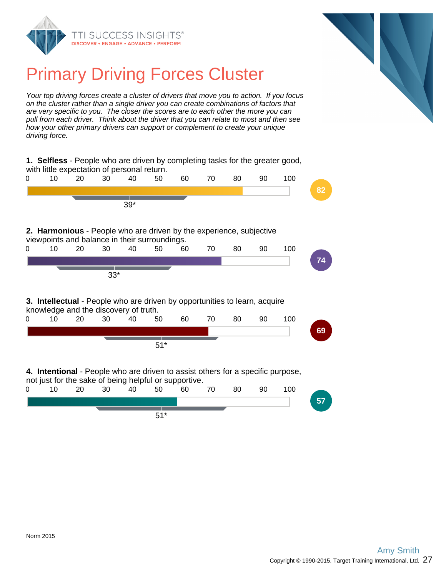



## Primary Driving Forces Cluster

Your top driving forces create a cluster of drivers that move you to action. If you focus on the cluster rather than a single driver you can create combinations of factors that are very specific to you. The closer the scores are to each other the more you can pull from each driver. Think about the driver that you can relate to most and then see how your other primary drivers can support or complement to create your unique driving force.

**1. Selfless** - People who are driven by completing tasks for the greater good, with little expectation of personal return. 0 10 20 30 40 50 60 70 80 90 100 **82** 39\* **2. Harmonious** - People who are driven by the experience, subjective viewpoints and balance in their surroundings. 0 10 20 30 40 50 60 70 80 90 100 **74** 33\* **3. Intellectual** - People who are driven by opportunities to learn, acquire knowledge and the discovery of truth. 0 10 20 30 40 50 60 70 80 90 100 **69** 51\* **4. Intentional** - People who are driven to assist others for a specific purpose, not just for the sake of being helpful or supportive.<br>0 10 20 30 40 50 60 0 10 20 30 40 50 60 70 80 90 100 **57**

51\*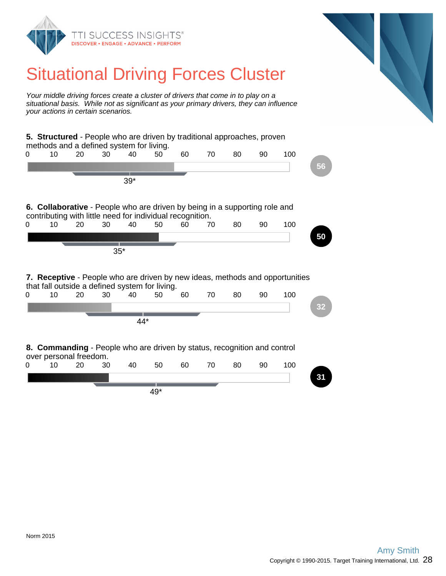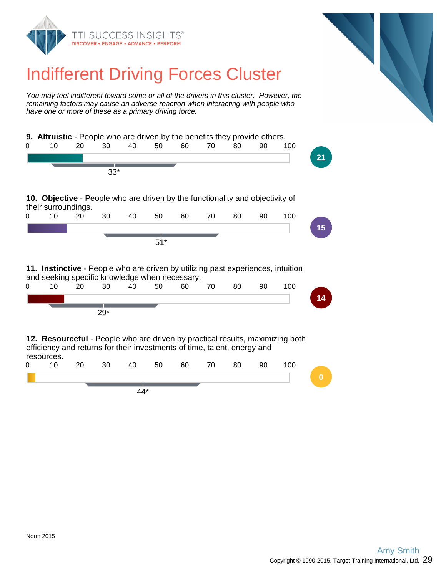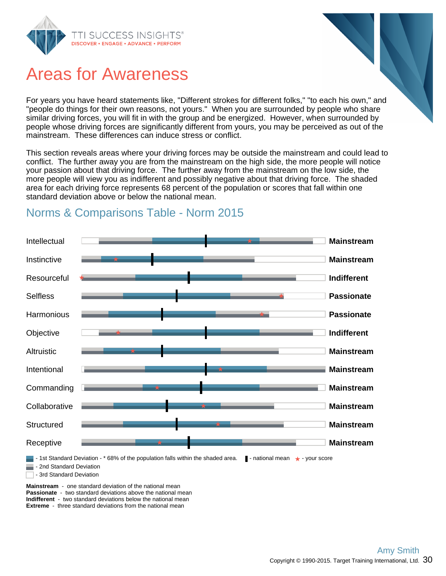

## Areas for Awareness

For years you have heard statements like, "Different strokes for different folks," "to each his own," and "people do things for their own reasons, not yours." When you are surrounded by people who share similar driving forces, you will fit in with the group and be energized. However, when surrounded by people whose driving forces are significantly different from yours, you may be perceived as out of the mainstream. These differences can induce stress or conflict.

This section reveals areas where your driving forces may be outside the mainstream and could lead to conflict. The further away you are from the mainstream on the high side, the more people will notice your passion about that driving force. The further away from the mainstream on the low side, the more people will view you as indifferent and possibly negative about that driving force. The shaded area for each driving force represents 68 percent of the population or scores that fall within one standard deviation above or below the national mean.

## Norms & Comparisons Table - Norm 2015



**Passionate** - two standard deviations above the national mean **Indifferent** - two standard deviations below the national mean **Extreme** - three standard deviations from the national mean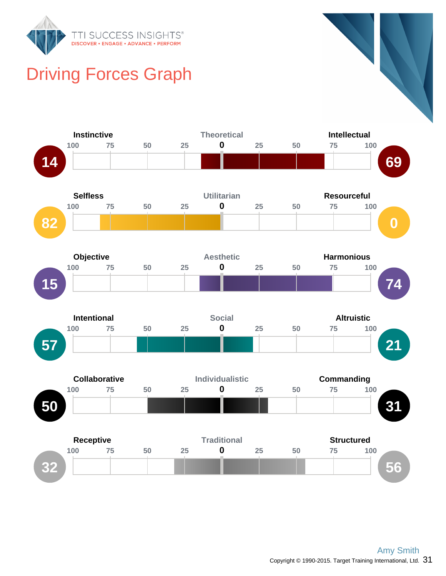

# Driving Forces Graph

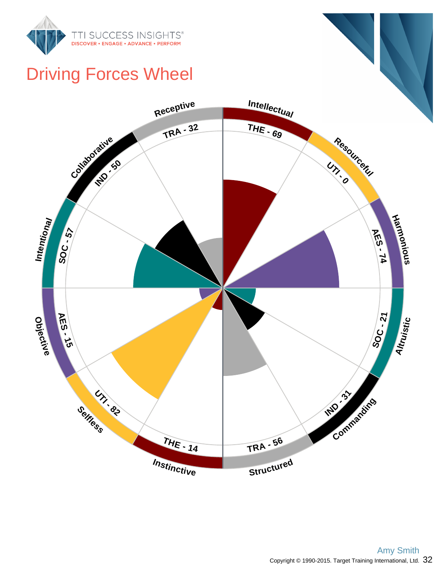

## Driving Forces Wheel

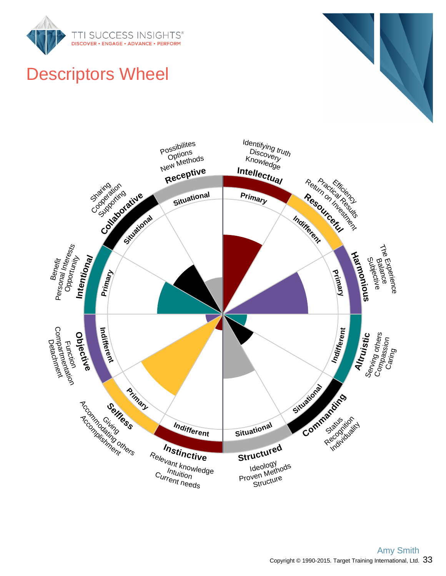



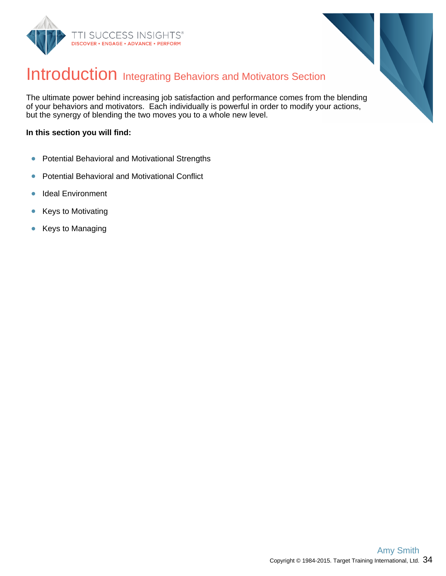



## Introduction Integrating Behaviors and Motivators Section

The ultimate power behind increasing job satisfaction and performance comes from the blending of your behaviors and motivators. Each individually is powerful in order to modify your actions, but the synergy of blending the two moves you to a whole new level.

#### **In this section you will find:**

- Potential Behavioral and Motivational Strengths  $\bullet$
- Potential Behavioral and Motivational Conflict  $\bullet$
- Ideal Environment  $\bullet$
- Keys to Motivating  $\bullet$
- Keys to Managing  $\bullet$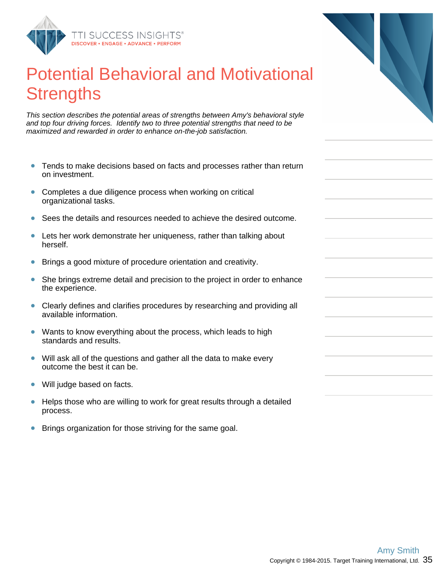

## Potential Behavioral and Motivational **Strengths**

This section describes the potential areas of strengths between Amy's behavioral style and top four driving forces. Identify two to three potential strengths that need to be maximized and rewarded in order to enhance on-the-job satisfaction.

- Tends to make decisions based on facts and processes rather than return on investment.
- Completes a due diligence process when working on critical  $\bullet$ organizational tasks.
- Sees the details and resources needed to achieve the desired outcome.  $\bullet$
- Lets her work demonstrate her uniqueness, rather than talking about  $\bullet$ herself.
- $\bullet$ Brings a good mixture of procedure orientation and creativity.
- $\bullet$ She brings extreme detail and precision to the project in order to enhance the experience.
- Clearly defines and clarifies procedures by researching and providing all  $\bullet$ available information.
- Wants to know everything about the process, which leads to high  $\bullet$ standards and results.
- Will ask all of the questions and gather all the data to make every  $\bullet$ outcome the best it can be.
- Will judge based on facts.  $\bullet$
- Helps those who are willing to work for great results through a detailed  $\bullet$ process.
- $\bullet$ Brings organization for those striving for the same goal.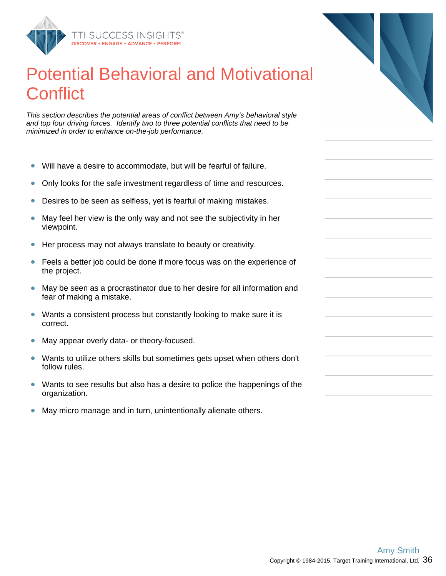

## Potential Behavioral and Motivational **Conflict**

This section describes the potential areas of conflict between Amy's behavioral style and top four driving forces. Identify two to three potential conflicts that need to be minimized in order to enhance on-the-job performance.

- Will have a desire to accommodate, but will be fearful of failure.  $\bullet$
- Only looks for the safe investment regardless of time and resources.  $\bullet$
- $\bullet$ Desires to be seen as selfless, yet is fearful of making mistakes.
- May feel her view is the only way and not see the subjectivity in her  $\bullet$ viewpoint.
- Her process may not always translate to beauty or creativity.  $\bullet$
- $\bullet$ Feels a better job could be done if more focus was on the experience of the project.
- $\bullet$ May be seen as a procrastinator due to her desire for all information and fear of making a mistake.
- Wants a consistent process but constantly looking to make sure it is  $\bullet$ correct.
- May appear overly data- or theory-focused.  $\bullet$
- Wants to utilize others skills but sometimes gets upset when others don't  $\bullet$ follow rules.
- Wants to see results but also has a desire to police the happenings of the organization.
- $\bullet$ May micro manage and in turn, unintentionally alienate others.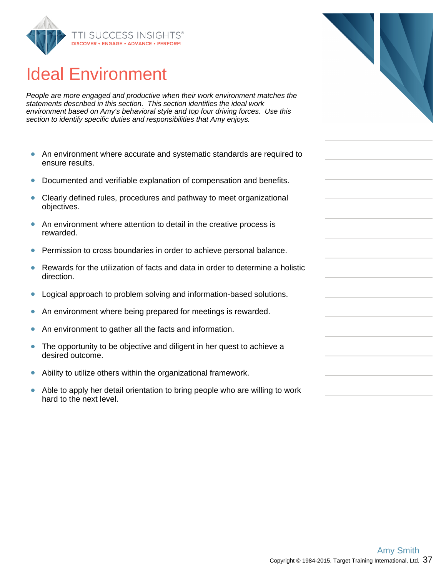

## Ideal Environment

People are more engaged and productive when their work environment matches the statements described in this section. This section identifies the ideal work environment based on Amy's behavioral style and top four driving forces. Use this section to identify specific duties and responsibilities that Amy enjoys.

- $\bullet$ An environment where accurate and systematic standards are required to ensure results.
- Documented and verifiable explanation of compensation and benefits.  $\bullet$
- $\bullet$ Clearly defined rules, procedures and pathway to meet organizational objectives.
- $\bullet$ An environment where attention to detail in the creative process is rewarded.
- Permission to cross boundaries in order to achieve personal balance.  $\bullet$
- Rewards for the utilization of facts and data in order to determine a holistic  $\bullet$ direction.
- Logical approach to problem solving and information-based solutions.  $\bullet$
- An environment where being prepared for meetings is rewarded.  $\bullet$
- An environment to gather all the facts and information.  $\bullet$
- $\bullet$ The opportunity to be objective and diligent in her quest to achieve a desired outcome.
- $\bullet$ Ability to utilize others within the organizational framework.
- Able to apply her detail orientation to bring people who are willing to work  $\bullet$ hard to the next level.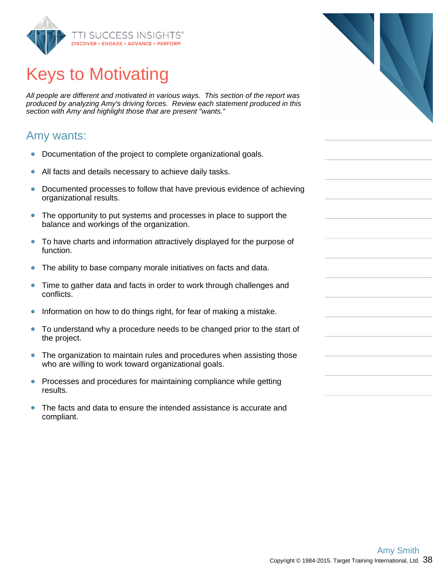

# Keys to Motivating

All people are different and motivated in various ways. This section of the report was produced by analyzing Amy's driving forces. Review each statement produced in this section with Amy and highlight those that are present "wants."

### Amy wants:

- $\bullet$ Documentation of the project to complete organizational goals.
- $\bullet$ All facts and details necessary to achieve daily tasks.
- Documented processes to follow that have previous evidence of achieving  $\bullet$ organizational results.
- The opportunity to put systems and processes in place to support the  $\bullet$ balance and workings of the organization.
- To have charts and information attractively displayed for the purpose of function.
- The ability to base company morale initiatives on facts and data.  $\bullet$
- $\bullet$ Time to gather data and facts in order to work through challenges and conflicts.
- Information on how to do things right, for fear of making a mistake.  $\bullet$
- To understand why a procedure needs to be changed prior to the start of  $\bullet$ the project.
- The organization to maintain rules and procedures when assisting those  $\bullet$ who are willing to work toward organizational goals.
- $\bullet$ Processes and procedures for maintaining compliance while getting results.
- The facts and data to ensure the intended assistance is accurate and ò compliant.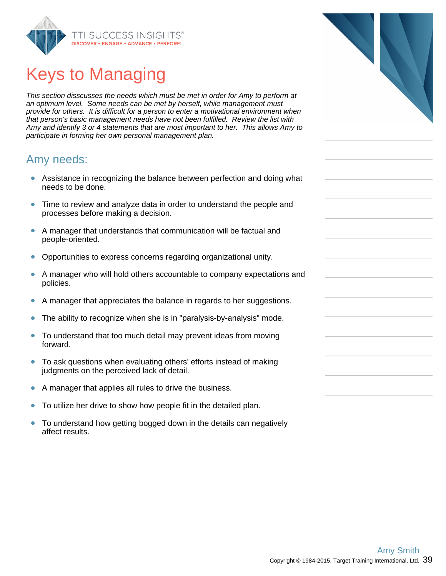

## Keys to Managing

This section disscusses the needs which must be met in order for Amy to perform at an optimum level. Some needs can be met by herself, while management must provide for others. It is difficult for a person to enter a motivational environment when that person's basic management needs have not been fulfilled. Review the list with Amy and identify 3 or 4 statements that are most important to her. This allows Amy to participate in forming her own personal management plan.

### Amy needs:

- Assistance in recognizing the balance between perfection and doing what needs to be done.
- Time to review and analyze data in order to understand the people and processes before making a decision.
- $\bullet$ A manager that understands that communication will be factual and people-oriented.
- Opportunities to express concerns regarding organizational unity.  $\bullet$
- $\bullet$ A manager who will hold others accountable to company expectations and policies.
- A manager that appreciates the balance in regards to her suggestions.  $\bullet$
- The ability to recognize when she is in "paralysis-by-analysis" mode.  $\bullet$
- $\bullet$ To understand that too much detail may prevent ideas from moving forward.
- $\bullet$ To ask questions when evaluating others' efforts instead of making judgments on the perceived lack of detail.
- A manager that applies all rules to drive the business.  $\bullet$
- To utilize her drive to show how people fit in the detailed plan.  $\bullet$
- $\bullet$ To understand how getting bogged down in the details can negatively affect results.

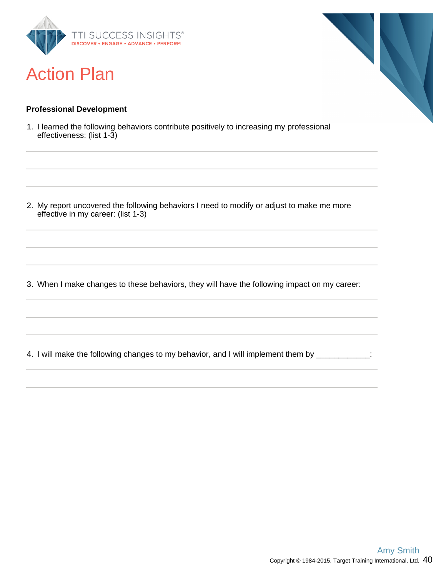

## Action Plan

### **Professional Development**

1. I learned the following behaviors contribute positively to increasing my professional effectiveness: (list 1-3)

2. My report uncovered the following behaviors I need to modify or adjust to make me more effective in my career: (list 1-3)

3. When I make changes to these behaviors, they will have the following impact on my career:

4. I will make the following changes to my behavior, and I will implement them by \_\_\_\_\_\_\_\_\_\_\_\_: